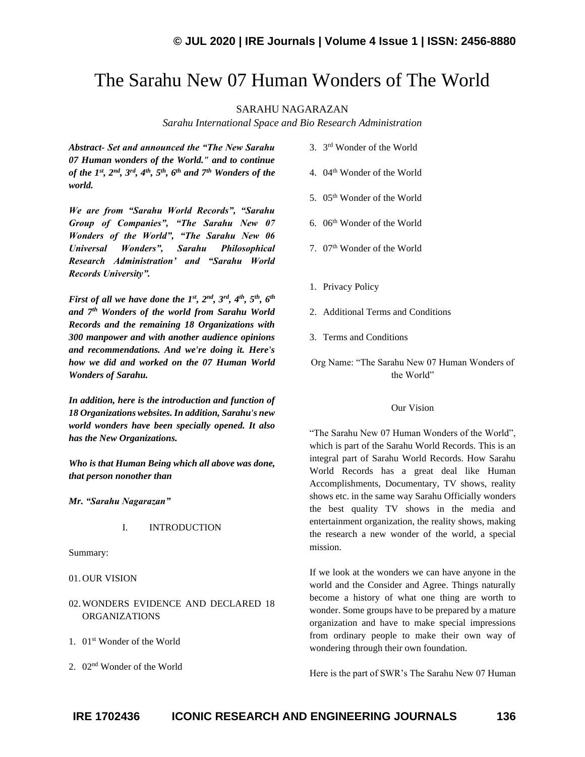# The Sarahu New 07 Human Wonders of The World

SARAHU NAGARAZAN

*Sarahu International Space and Bio Research Administration*

*Abstract- Set and announced the "The New Sarahu 07 Human wonders of the World." and to continue of the 1st, 2nd, 3rd , 4 th, 5th, 6th and 7th Wonders of the world.* 

*We are from "Sarahu World Records", "Sarahu Group of Companies", "The Sarahu New 07 Wonders of the World", "The Sarahu New 06 Universal Wonders", Sarahu Philosophical Research Administration' and "Sarahu World Records University".* 

*First of all we have done the 1st, 2nd, 3rd, 4th, 5th, 6th and 7th Wonders of the world from Sarahu World Records and the remaining 18 Organizations with 300 manpower and with another audience opinions and recommendations. And we're doing it. Here's how we did and worked on the 07 Human World Wonders of Sarahu.* 

*In addition, here is the introduction and function of 18 Organizations websites. In addition, Sarahu's new world wonders have been specially opened. It also has the New Organizations.*

*Who is that Human Being which all above was done, that person nonother than* 

*Mr. "Sarahu Nagarazan"*

#### I. INTRODUCTION

Summary:

- 01. OUR VISION
- 02. WONDERS EVIDENCE AND DECLARED 18 ORGANIZATIONS
- 1. 01st Wonder of the World
- 2. 02nd Wonder of the World
- 3. 3 rd Wonder of the World
- 4. 04th Wonder of the World
- 5. 05<sup>th</sup> Wonder of the World
- 6. 06th Wonder of the World
- 7. 07<sup>th</sup> Wonder of the World
- 1. Privacy Policy
- 2. Additional Terms and Conditions
- 3. Terms and Conditions

Org Name: "The Sarahu New 07 Human Wonders of the World"

#### Our Vision

"The Sarahu New 07 Human Wonders of the World", which is part of the Sarahu World Records. This is an integral part of Sarahu World Records. How Sarahu World Records has a great deal like Human Accomplishments, Documentary, TV shows, reality shows etc. in the same way Sarahu Officially wonders the best quality TV shows in the media and entertainment organization, the reality shows, making the research a new wonder of the world, a special mission.

If we look at the wonders we can have anyone in the world and the Consider and Agree. Things naturally become a history of what one thing are worth to wonder. Some groups have to be prepared by a mature organization and have to make special impressions from ordinary people to make their own way of wondering through their own foundation.

Here is the part of SWR's The Sarahu New 07 Human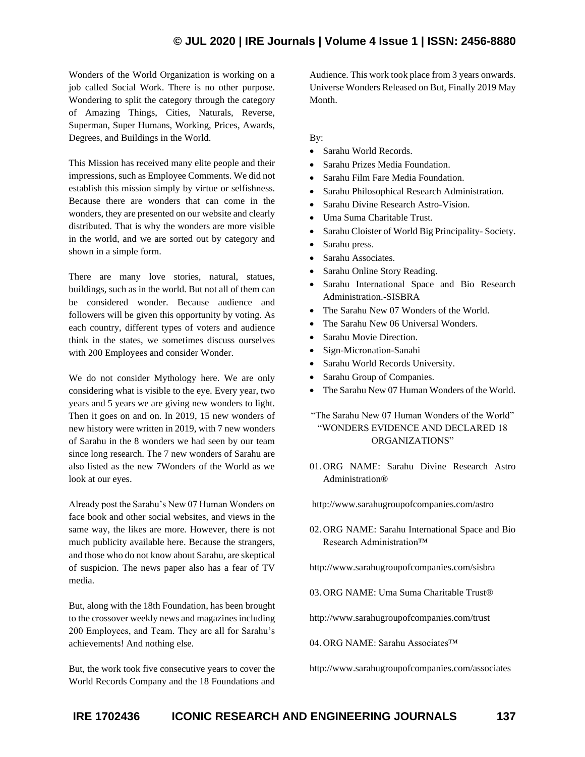Wonders of the World Organization is working on a job called Social Work. There is no other purpose. Wondering to split the category through the category of Amazing Things, Cities, Naturals, Reverse, Superman, Super Humans, Working, Prices, Awards, Degrees, and Buildings in the World.

This Mission has received many elite people and their impressions, such as Employee Comments. We did not establish this mission simply by virtue or selfishness. Because there are wonders that can come in the wonders, they are presented on our website and clearly distributed. That is why the wonders are more visible in the world, and we are sorted out by category and shown in a simple form.

There are many love stories, natural, statues, buildings, such as in the world. But not all of them can be considered wonder. Because audience and followers will be given this opportunity by voting. As each country, different types of voters and audience think in the states, we sometimes discuss ourselves with 200 Employees and consider Wonder.

We do not consider Mythology here. We are only considering what is visible to the eye. Every year, two years and 5 years we are giving new wonders to light. Then it goes on and on. In 2019, 15 new wonders of new history were written in 2019, with 7 new wonders of Sarahu in the 8 wonders we had seen by our team since long research. The 7 new wonders of Sarahu are also listed as the new 7Wonders of the World as we look at our eyes.

Already post the Sarahu's New 07 Human Wonders on face book and other social websites, and views in the same way, the likes are more. However, there is not much publicity available here. Because the strangers, and those who do not know about Sarahu, are skeptical of suspicion. The news paper also has a fear of TV media.

But, along with the 18th Foundation, has been brought to the crossover weekly news and magazines including 200 Employees, and Team. They are all for Sarahu's achievements! And nothing else.

But, the work took five consecutive years to cover the World Records Company and the 18 Foundations and Audience. This work took place from 3 years onwards. Universe Wonders Released on But, Finally 2019 May Month.

#### By:

- Sarahu World Records.
- Sarahu Prizes Media Foundation.
- Sarahu Film Fare Media Foundation.
- Sarahu Philosophical Research Administration.
- Sarahu Divine Research Astro-Vision.
- Uma Suma Charitable Trust.
- Sarahu Cloister of World Big Principality- Society.
- Sarahu press.
- Sarahu Associates.
- Sarahu Online Story Reading.
- Sarahu International Space and Bio Research Administration.-SISBRA
- The Sarahu New 07 Wonders of the World.
- The Sarahu New 06 Universal Wonders.
- Sarahu Movie Direction.
- Sign-Micronation-Sanahi
- Sarahu World Records University.
- Sarahu Group of Companies.
- The Sarahu New 07 Human Wonders of the World.

### "The Sarahu New 07 Human Wonders of the World" "WONDERS EVIDENCE AND DECLARED 18 ORGANIZATIONS"

01. ORG NAME: Sarahu Divine Research Astro Administration®

http://www.sarahugroupofcompanies.com/astro

- 02. ORG NAME: Sarahu International Space and Bio Research Administration™
- http://www.sarahugroupofcompanies.com/sisbra
- 03. ORG NAME: Uma Suma Charitable Trust®

http://www.sarahugroupofcompanies.com/trust

04. ORG NAME: Sarahu Associates™

http://www.sarahugroupofcompanies.com/associates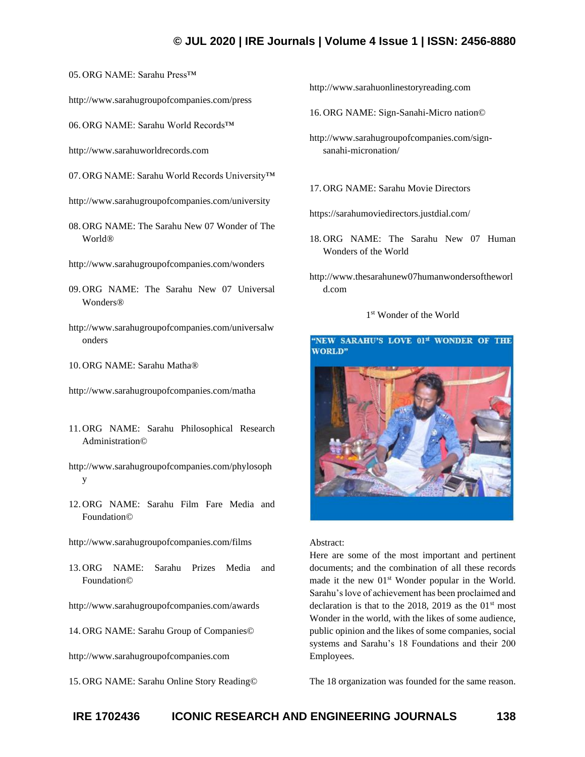05. ORG NAME: Sarahu Press™

http://www.sarahugroupofcompanies.com/press

06. ORG NAME: Sarahu World Records™

http://www.sarahuworldrecords.com

07. ORG NAME: Sarahu World Records University™

- http://www.sarahugroupofcompanies.com/university
- 08. ORG NAME: The Sarahu New 07 Wonder of The World®
- http://www.sarahugroupofcompanies.com/wonders
- 09. ORG NAME: The Sarahu New 07 Universal Wonders®
- http://www.sarahugroupofcompanies.com/universalw onders
- 10. ORG NAME: Sarahu Matha®
- http://www.sarahugroupofcompanies.com/matha
- 11. ORG NAME: Sarahu Philosophical Research Administration©
- http://www.sarahugroupofcompanies.com/phylosoph y
- 12. ORG NAME: Sarahu Film Fare Media and Foundation©
- http://www.sarahugroupofcompanies.com/films
- 13. ORG NAME: Sarahu Prizes Media and Foundation©

http://www.sarahugroupofcompanies.com/awards

14. ORG NAME: Sarahu Group of Companies©

http://www.sarahugroupofcompanies.com

15. ORG NAME: Sarahu Online Story Reading©

http://www.sarahuonlinestoryreading.com

16. ORG NAME: Sign-Sanahi-Micro nation©

- http://www.sarahugroupofcompanies.com/signsanahi-micronation/
- 17. ORG NAME: Sarahu Movie Directors

https://sarahumoviedirectors.justdial.com/

- 18. ORG NAME: The Sarahu New 07 Human Wonders of the World
- http://www.thesarahunew07humanwondersoftheworl d.com

#### 1 st Wonder of the World



#### Abstract:

Here are some of the most important and pertinent documents; and the combination of all these records made it the new 01<sup>st</sup> Wonder popular in the World. Sarahu's love of achievement has been proclaimed and declaration is that to the 2018, 2019 as the  $01<sup>st</sup>$  most Wonder in the world, with the likes of some audience, public opinion and the likes of some companies, social systems and Sarahu's 18 Foundations and their 200 Employees.

The 18 organization was founded for the same reason.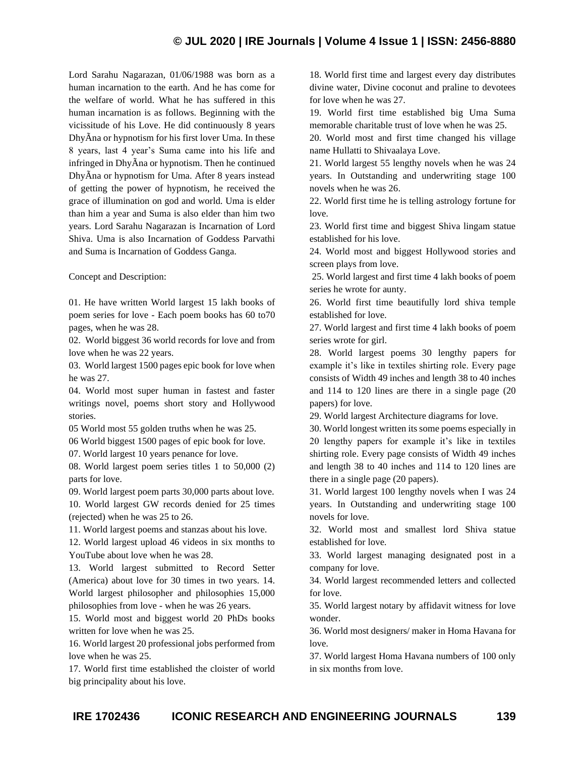Lord Sarahu Nagarazan, 01/06/1988 was born as a human incarnation to the earth. And he has come for the welfare of world. What he has suffered in this human incarnation is as follows. Beginning with the vicissitude of his Love. He did continuously 8 years DhyÃna or hypnotism for his first lover Uma. In these 8 years, last 4 year's Suma came into his life and infringed in DhyÃna or hypnotism. Then he continued DhyÃna or hypnotism for Uma. After 8 years instead of getting the power of hypnotism, he received the grace of illumination on god and world. Uma is elder than him a year and Suma is also elder than him two years. Lord Sarahu Nagarazan is Incarnation of Lord Shiva. Uma is also Incarnation of Goddess Parvathi and Suma is Incarnation of Goddess Ganga.

Concept and Description:

01. He have written World largest 15 lakh books of poem series for love - Each poem books has 60 to70 pages, when he was 28.

02. World biggest 36 world records for love and from love when he was 22 years.

03. World largest 1500 pages epic book for love when he was 27.

04. World most super human in fastest and faster writings novel, poems short story and Hollywood stories.

05 World most 55 golden truths when he was 25.

06 World biggest 1500 pages of epic book for love.

07. World largest 10 years penance for love.

08. World largest poem series titles 1 to 50,000 (2) parts for love.

09. World largest poem parts 30,000 parts about love. 10. World largest GW records denied for 25 times (rejected) when he was 25 to 26.

11. World largest poems and stanzas about his love.

12. World largest upload 46 videos in six months to YouTube about love when he was 28.

13. World largest submitted to Record Setter (America) about love for 30 times in two years. 14. World largest philosopher and philosophies 15,000 philosophies from love - when he was 26 years.

15. World most and biggest world 20 PhDs books written for love when he was 25.

16. World largest 20 professional jobs performed from love when he was 25.

17. World first time established the cloister of world big principality about his love.

18. World first time and largest every day distributes divine water, Divine coconut and praline to devotees for love when he was 27.

19. World first time established big Uma Suma memorable charitable trust of love when he was 25.

20. World most and first time changed his village name Hullatti to Shivaalaya Love.

21. World largest 55 lengthy novels when he was 24 years. In Outstanding and underwriting stage 100 novels when he was 26.

22. World first time he is telling astrology fortune for love.

23. World first time and biggest Shiva lingam statue established for his love.

24. World most and biggest Hollywood stories and screen plays from love.

25. World largest and first time 4 lakh books of poem series he wrote for aunty.

26. World first time beautifully lord shiva temple established for love.

27. World largest and first time 4 lakh books of poem series wrote for girl.

28. World largest poems 30 lengthy papers for example it's like in textiles shirting role. Every page consists of Width 49 inches and length 38 to 40 inches and 114 to 120 lines are there in a single page (20 papers) for love.

29. World largest Architecture diagrams for love.

30. World longest written its some poems especially in 20 lengthy papers for example it's like in textiles shirting role. Every page consists of Width 49 inches and length 38 to 40 inches and 114 to 120 lines are there in a single page (20 papers).

31. World largest 100 lengthy novels when I was 24 years. In Outstanding and underwriting stage 100 novels for love.

32. World most and smallest lord Shiva statue established for love.

33. World largest managing designated post in a company for love.

34. World largest recommended letters and collected for love.

35. World largest notary by affidavit witness for love wonder.

36. World most designers/ maker in Homa Havana for love.

37. World largest Homa Havana numbers of 100 only in six months from love.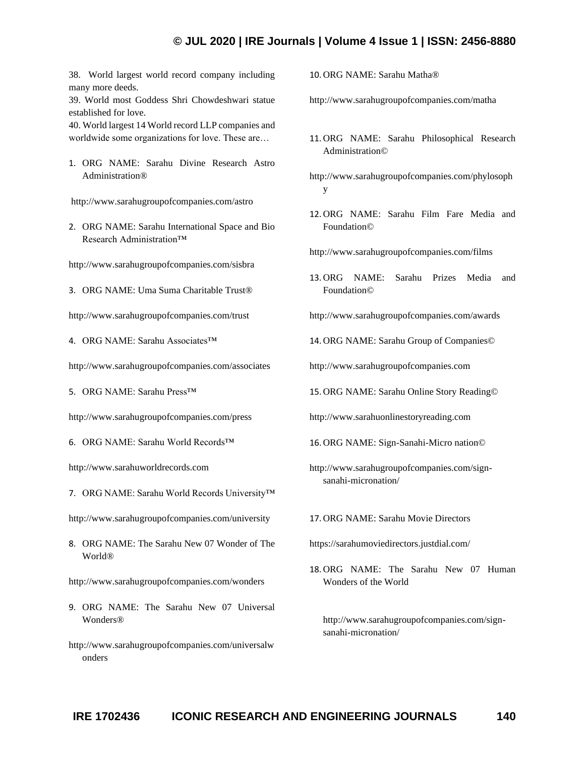38. World largest world record company including many more deeds.

39. World most Goddess Shri Chowdeshwari statue established for love.

40. World largest 14 World record LLP companies and worldwide some organizations for love. These are…

1. ORG NAME: Sarahu Divine Research Astro Administration®

http://www.sarahugroupofcompanies.com/astro

2. ORG NAME: Sarahu International Space and Bio Research Administration™

http://www.sarahugroupofcompanies.com/sisbra

3. ORG NAME: Uma Suma Charitable Trust®

http://www.sarahugroupofcompanies.com/trust

4. ORG NAME: Sarahu Associates™

http://www.sarahugroupofcompanies.com/associates

5. ORG NAME: Sarahu Press™

http://www.sarahugroupofcompanies.com/press

6. ORG NAME: Sarahu World Records™

http://www.sarahuworldrecords.com

7. ORG NAME: Sarahu World Records University™

http://www.sarahugroupofcompanies.com/university

8. ORG NAME: The Sarahu New 07 Wonder of The World®

http://www.sarahugroupofcompanies.com/wonders

- 9. ORG NAME: The Sarahu New 07 Universal Wonders®
- http://www.sarahugroupofcompanies.com/universalw onders

10. ORG NAME: Sarahu Matha®

http://www.sarahugroupofcompanies.com/matha

- 11. ORG NAME: Sarahu Philosophical Research Administration©
- http://www.sarahugroupofcompanies.com/phylosoph y
- 12. ORG NAME: Sarahu Film Fare Media and Foundation©

http://www.sarahugroupofcompanies.com/films

- 13. ORG NAME: Sarahu Prizes Media and Foundation©
- http://www.sarahugroupofcompanies.com/awards
- 14. ORG NAME: Sarahu Group of Companies©

http://www.sarahugroupofcompanies.com

15. ORG NAME: Sarahu Online Story Reading©

http://www.sarahuonlinestoryreading.com

16. ORG NAME: Sign-Sanahi-Micro nation©

http://www.sarahugroupofcompanies.com/signsanahi-micronation/

17. ORG NAME: Sarahu Movie Directors

https://sarahumoviedirectors.justdial.com/

18. ORG NAME: The Sarahu New 07 Human Wonders of the World

http://www.sarahugroupofcompanies.com/signsanahi-micronation/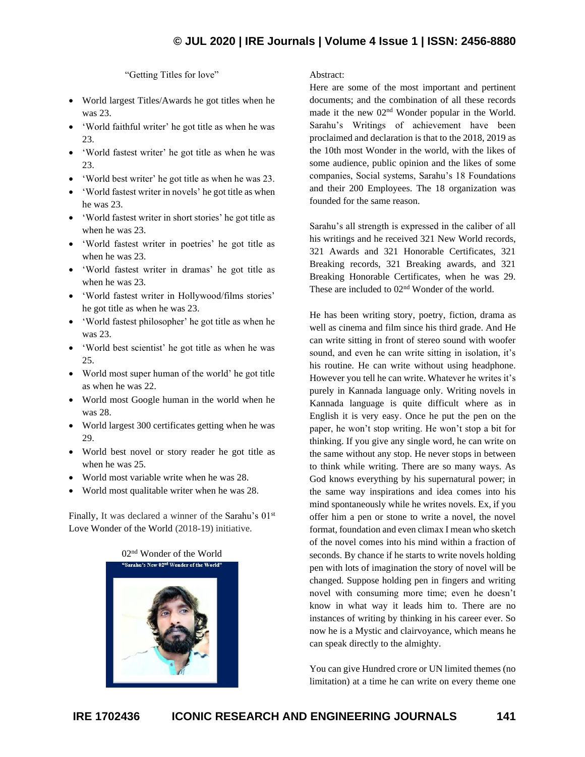"Getting Titles for love"

- World largest Titles/Awards he got titles when he was 23.
- 'World faithful writer' he got title as when he was 23.
- 'World fastest writer' he got title as when he was 23.
- 'World best writer' he got title as when he was 23.
- 'World fastest writer in novels' he got title as when he was 23.
- 'World fastest writer in short stories' he got title as when he was 23.
- 'World fastest writer in poetries' he got title as when he was 23.
- 'World fastest writer in dramas' he got title as when he was 23.
- 'World fastest writer in Hollywood/films stories' he got title as when he was 23.
- 'World fastest philosopher' he got title as when he was 23.
- 'World best scientist' he got title as when he was 25.
- World most super human of the world' he got title as when he was 22.
- World most Google human in the world when he was 28.
- World largest 300 certificates getting when he was 29.
- World best novel or story reader he got title as when he was 25.
- World most variable write when he was 28.
- World most qualitable writer when he was 28.

Finally, It was declared a winner of the Sarahu's 01<sup>st</sup> Love Wonder of the World (2018-19) initiative.



Abstract:

Here are some of the most important and pertinent documents; and the combination of all these records made it the new 02<sup>nd</sup> Wonder popular in the World. Sarahu's Writings of achievement have been proclaimed and declaration is that to the 2018, 2019 as the 10th most Wonder in the world, with the likes of some audience, public opinion and the likes of some companies, Social systems, Sarahu's 18 Foundations and their 200 Employees. The 18 organization was founded for the same reason.

Sarahu's all strength is expressed in the caliber of all his writings and he received 321 New World records, 321 Awards and 321 Honorable Certificates, 321 Breaking records, 321 Breaking awards, and 321 Breaking Honorable Certificates, when he was 29. These are included to  $02<sup>nd</sup>$  Wonder of the world.

He has been writing story, poetry, fiction, drama as well as cinema and film since his third grade. And He can write sitting in front of stereo sound with woofer sound, and even he can write sitting in isolation, it's his routine. He can write without using headphone. However you tell he can write. Whatever he writes it's purely in Kannada language only. Writing novels in Kannada language is quite difficult where as in English it is very easy. Once he put the pen on the paper, he won't stop writing. He won't stop a bit for thinking. If you give any single word, he can write on the same without any stop. He never stops in between to think while writing. There are so many ways. As God knows everything by his supernatural power; in the same way inspirations and idea comes into his mind spontaneously while he writes novels. Ex, if you offer him a pen or stone to write a novel, the novel format, foundation and even climax I mean who sketch of the novel comes into his mind within a fraction of seconds. By chance if he starts to write novels holding pen with lots of imagination the story of novel will be changed. Suppose holding pen in fingers and writing novel with consuming more time; even he doesn't know in what way it leads him to. There are no instances of writing by thinking in his career ever. So now he is a Mystic and clairvoyance, which means he can speak directly to the almighty.

You can give Hundred crore or UN limited themes (no limitation) at a time he can write on every theme one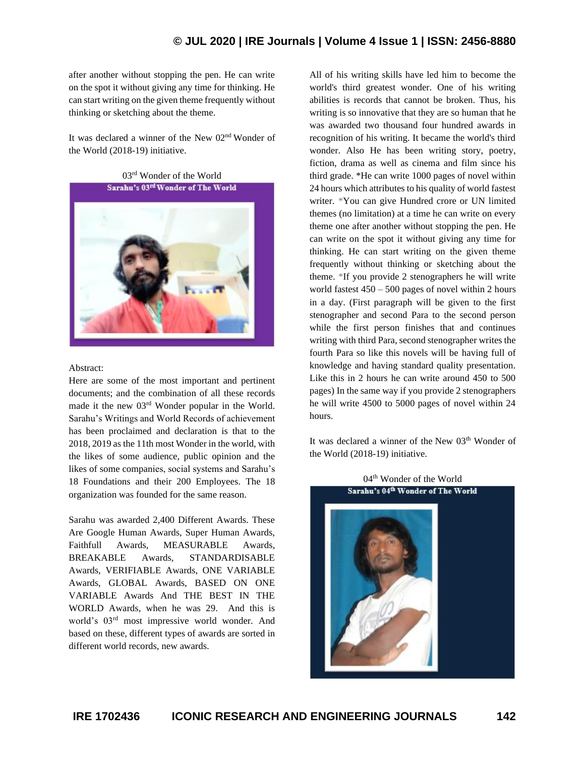after another without stopping the pen. He can write on the spot it without giving any time for thinking. He can start writing on the given theme frequently without thinking or sketching about the theme.

It was declared a winner of the New 02nd Wonder of the World (2018-19) initiative.

03rd Wonder of the World Sarahu's 03rd Wonder of The World



#### Abstract:

Here are some of the most important and pertinent documents; and the combination of all these records made it the new 03rd Wonder popular in the World. Sarahu's Writings and World Records of achievement has been proclaimed and declaration is that to the 2018, 2019 as the 11th most Wonder in the world, with the likes of some audience, public opinion and the likes of some companies, social systems and Sarahu's 18 Foundations and their 200 Employees. The 18 organization was founded for the same reason.

Sarahu was awarded 2,400 Different Awards. These Are Google Human Awards, Super Human Awards, Faithfull Awards, MEASURABLE Awards, BREAKABLE Awards, STANDARDISABLE Awards, VERIFIABLE Awards, ONE VARIABLE Awards, GLOBAL Awards, BASED ON ONE VARIABLE Awards And THE BEST IN THE WORLD Awards, when he was 29. And this is world's 03rd most impressive world wonder. And based on these, different types of awards are sorted in different world records, new awards.

All of his writing skills have led him to become the world's third greatest wonder. One of his writing abilities is records that cannot be broken. Thus, his writing is so innovative that they are so human that he was awarded two thousand four hundred awards in recognition of his writing. It became the world's third wonder. Also He has been writing story, poetry, fiction, drama as well as cinema and film since his third grade. \*He can write 1000 pages of novel within 24 hours which attributes to his quality of world fastest writer. \*You can give Hundred crore or UN limited themes (no limitation) at a time he can write on every theme one after another without stopping the pen. He can write on the spot it without giving any time for thinking. He can start writing on the given theme frequently without thinking or sketching about the theme. \*If you provide 2 stenographers he will write world fastest  $450 - 500$  pages of novel within 2 hours in a day. (First paragraph will be given to the first stenographer and second Para to the second person while the first person finishes that and continues writing with third Para, second stenographer writes the fourth Para so like this novels will be having full of knowledge and having standard quality presentation. Like this in 2 hours he can write around 450 to 500 pages) In the same way if you provide 2 stenographers he will write 4500 to 5000 pages of novel within 24 hours.

It was declared a winner of the New 03<sup>th</sup> Wonder of the World (2018-19) initiative.

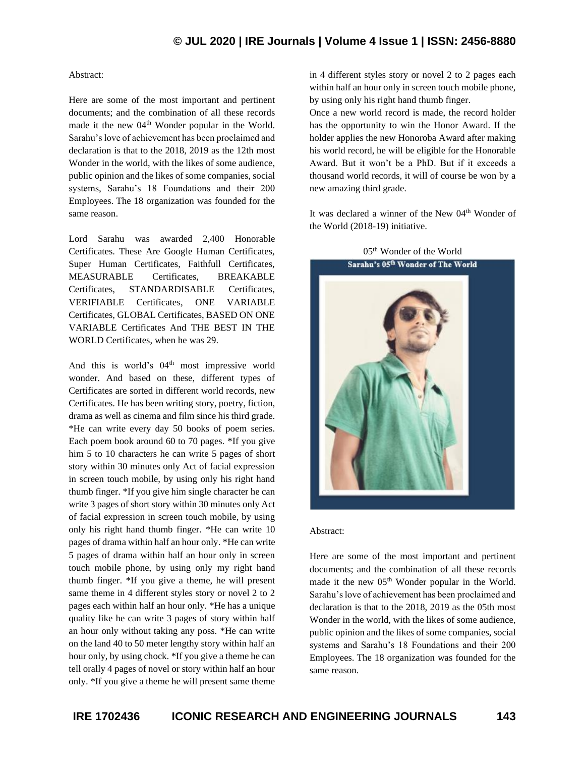#### Abstract:

Here are some of the most important and pertinent documents; and the combination of all these records made it the new 04<sup>th</sup> Wonder popular in the World. Sarahu's love of achievement has been proclaimed and declaration is that to the 2018, 2019 as the 12th most Wonder in the world, with the likes of some audience, public opinion and the likes of some companies, social systems, Sarahu's 18 Foundations and their 200 Employees. The 18 organization was founded for the same reason.

Lord Sarahu was awarded 2,400 Honorable Certificates. These Are Google Human Certificates, Super Human Certificates, Faithfull Certificates, MEASURABLE Certificates, BREAKABLE Certificates, STANDARDISABLE Certificates, VERIFIABLE Certificates, ONE VARIABLE Certificates, GLOBAL Certificates, BASED ON ONE VARIABLE Certificates And THE BEST IN THE WORLD Certificates, when he was 29.

And this is world's 04<sup>th</sup> most impressive world wonder. And based on these, different types of Certificates are sorted in different world records, new Certificates. He has been writing story, poetry, fiction, drama as well as cinema and film since his third grade. \*He can write every day 50 books of poem series. Each poem book around 60 to 70 pages. \*If you give him 5 to 10 characters he can write 5 pages of short story within 30 minutes only Act of facial expression in screen touch mobile, by using only his right hand thumb finger. \*If you give him single character he can write 3 pages of short story within 30 minutes only Act of facial expression in screen touch mobile, by using only his right hand thumb finger. \*He can write 10 pages of drama within half an hour only. \*He can write 5 pages of drama within half an hour only in screen touch mobile phone, by using only my right hand thumb finger. \*If you give a theme, he will present same theme in 4 different styles story or novel 2 to 2 pages each within half an hour only. \*He has a unique quality like he can write 3 pages of story within half an hour only without taking any poss. \*He can write on the land 40 to 50 meter lengthy story within half an hour only, by using chock. \*If you give a theme he can tell orally 4 pages of novel or story within half an hour only. \*If you give a theme he will present same theme in 4 different styles story or novel 2 to 2 pages each within half an hour only in screen touch mobile phone, by using only his right hand thumb finger.

Once a new world record is made, the record holder has the opportunity to win the Honor Award. If the holder applies the new Honoroba Award after making his world record, he will be eligible for the Honorable Award. But it won't be a PhD. But if it exceeds a thousand world records, it will of course be won by a new amazing third grade.

It was declared a winner of the New 04<sup>th</sup> Wonder of the World (2018-19) initiative.



#### Abstract:

Here are some of the most important and pertinent documents; and the combination of all these records made it the new 05<sup>th</sup> Wonder popular in the World. Sarahu's love of achievement has been proclaimed and declaration is that to the 2018, 2019 as the 05th most Wonder in the world, with the likes of some audience, public opinion and the likes of some companies, social systems and Sarahu's 18 Foundations and their 200 Employees. The 18 organization was founded for the same reason.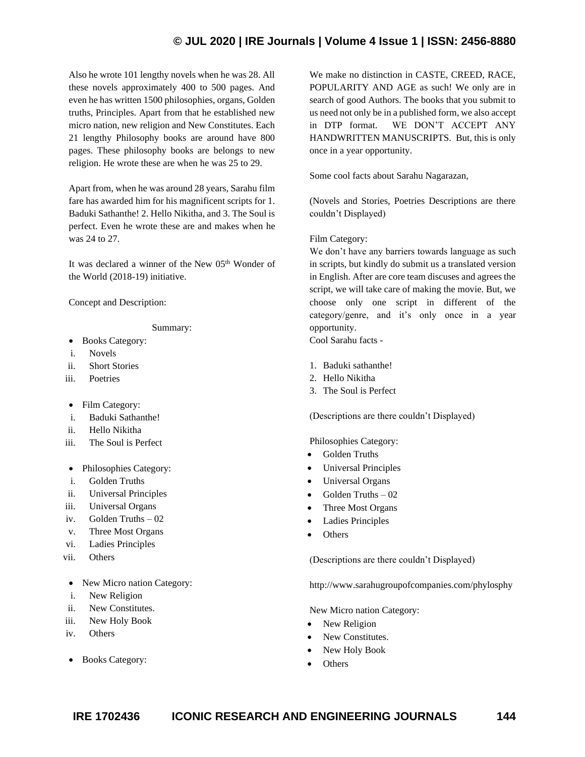Also he wrote 101 lengthy novels when he was 28. All these novels approximately 400 to 500 pages. And even he has written 1500 philosophies, organs, Golden truths, Principles. Apart from that he established new micro nation, new religion and New Constitutes. Each 21 lengthy Philosophy books are around have 800 pages. These philosophy books are belongs to new religion. He wrote these are when he was 25 to 29.

Apart from, when he was around 28 years, Sarahu film fare has awarded him for his magnificent scripts for 1. Baduki Sathanthe! 2. Hello Nikitha, and 3. The Soul is perfect. Even he wrote these are and makes when he was 24 to 27.

It was declared a winner of the New 05<sup>th</sup> Wonder of the World (2018-19) initiative.

Concept and Description:

Summary:

- Books Category:
- i. Novels
- ii. Short Stories
- iii. Poetries
- Film Category:
- i. Baduki Sathanthe!
- ii. Hello Nikitha
- iii. The Soul is Perfect
- Philosophies Category:
- i. Golden Truths
- ii. Universal Principles
- iii. Universal Organs
- iv. Golden Truths 02
- v. Three Most Organs
- vi. Ladies Principles
- vii. Others
- New Micro nation Category:
- i. New Religion
- ii. New Constitutes.
- iii. New Holy Book
- iv. Others
- Books Category:

We make no distinction in CASTE, CREED, RACE, POPULARITY AND AGE as such! We only are in search of good Authors. The books that you submit to us need not only be in a published form, we also accept in DTP format. WE DON'T ACCEPT ANY HANDWRITTEN MANUSCRIPTS. But, this is only once in a year opportunity.

Some cool facts about Sarahu Nagarazan,

(Novels and Stories, Poetries Descriptions are there couldn't Displayed)

#### Film Category:

We don't have any barriers towards language as such in scripts, but kindly do submit us a translated version in English. After are core team discuses and agrees the script, we will take care of making the movie. But, we choose only one script in different of the category/genre, and it's only once in a year opportunity.

Cool Sarahu facts -

- 1. Baduki sathanthe!
- 2. Hello Nikitha
- 3. The Soul is Perfect

(Descriptions are there couldn't Displayed)

Philosophies Category:

- Golden Truths
- Universal Principles
- Universal Organs
- Golden Truths 02
- Three Most Organs
- Ladies Principles
- **Others**

(Descriptions are there couldn't Displayed)

http://www.sarahugroupofcompanies.com/phylosphy

New Micro nation Category:

- New Religion
- New Constitutes.
- New Holy Book
- **Others**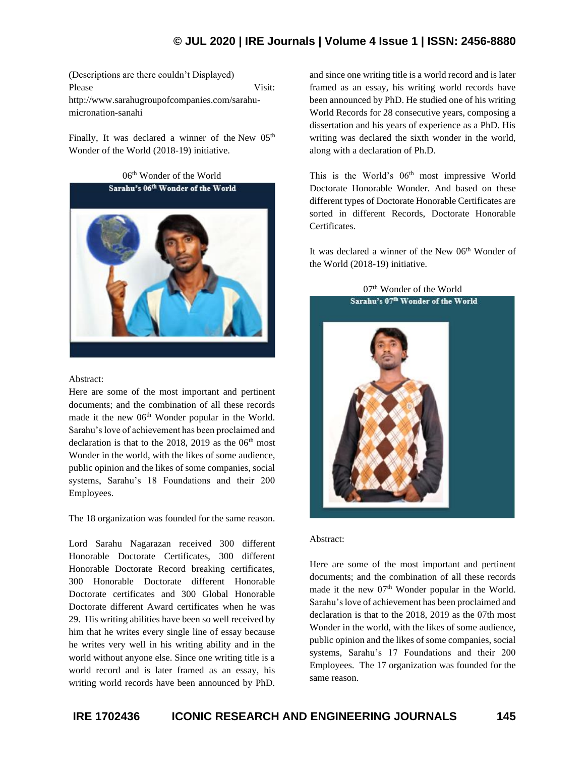(Descriptions are there couldn't Displayed) Please Visit: http://www.sarahugroupofcompanies.com/sarahumicronation-sanahi

Finally, It was declared a winner of the New  $05<sup>th</sup>$ [Wonder of the World](https://en.wikipedia.org/wiki/New7Wonders_of_the_World) (2018-19) initiative.

> 06th Wonder of the World Sarahu's 06th Wonder of the World



#### Abstract:

Here are some of the most important and pertinent documents; and the combination of all these records made it the new 06<sup>th</sup> Wonder popular in the World. Sarahu's love of achievement has been proclaimed and declaration is that to the 2018, 2019 as the  $06<sup>th</sup>$  most Wonder in the world, with the likes of some audience, public opinion and the likes of some companies, social systems, Sarahu's 18 Foundations and their 200 Employees.

The 18 organization was founded for the same reason.

Lord Sarahu Nagarazan received 300 different Honorable Doctorate Certificates, 300 different Honorable Doctorate Record breaking certificates, 300 Honorable Doctorate different Honorable Doctorate certificates and 300 Global Honorable Doctorate different Award certificates when he was 29. His writing abilities have been so well received by him that he writes every single line of essay because he writes very well in his writing ability and in the world without anyone else. Since one writing title is a world record and is later framed as an essay, his writing world records have been announced by PhD.

and since one writing title is a world record and is later framed as an essay, his writing world records have been announced by PhD. He studied one of his writing World Records for 28 consecutive years, composing a dissertation and his years of experience as a PhD. His writing was declared the sixth wonder in the world, along with a declaration of Ph.D.

This is the World's 06<sup>th</sup> most impressive World Doctorate Honorable Wonder. And based on these different types of Doctorate Honorable Certificates are sorted in different Records, Doctorate Honorable Certificates.

It was declared a winner of the New  $06<sup>th</sup>$  Wonder of the World (2018-19) initiative.

#### 07<sup>th</sup> Wonder of the World Sarahu's 07th Wonder of the World



#### Abstract:

Here are some of the most important and pertinent documents; and the combination of all these records made it the new  $07<sup>th</sup>$  Wonder popular in the World. Sarahu's love of achievement has been proclaimed and declaration is that to the 2018, 2019 as the 07th most Wonder in the world, with the likes of some audience, public opinion and the likes of some companies, social systems, Sarahu's 17 Foundations and their 200 Employees. The 17 organization was founded for the same reason.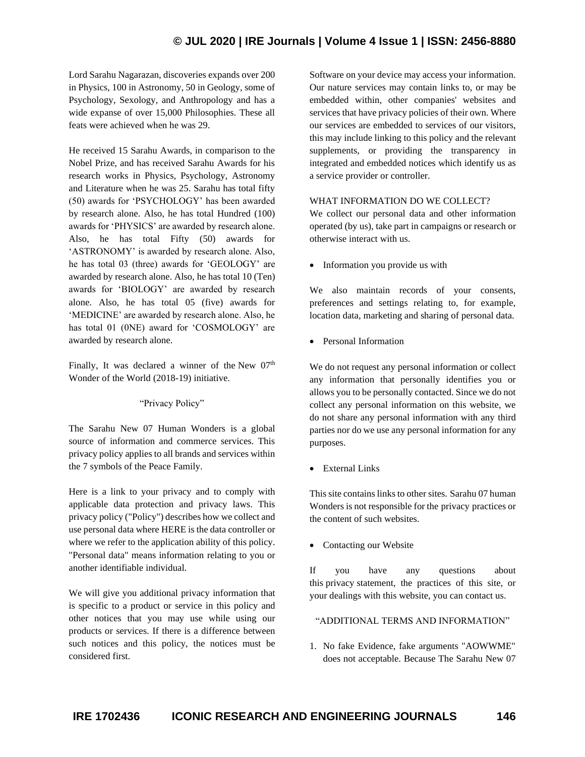Lord Sarahu Nagarazan, discoveries expands over 200 in Physics, 100 in Astronomy, 50 in Geology, some of Psychology, Sexology, and Anthropology and has a wide expanse of over 15,000 Philosophies. These all feats were achieved when he was 29.

He received 15 Sarahu Awards, in comparison to the Nobel Prize, and has received Sarahu Awards for his research works in Physics, Psychology, Astronomy and Literature when he was 25. Sarahu has total fifty (50) awards for 'PSYCHOLOGY' has been awarded by research alone. Also, he has total Hundred (100) awards for 'PHYSICS' are awarded by research alone. Also, he has total Fifty (50) awards for 'ASTRONOMY' is awarded by research alone. Also, he has total 03 (three) awards for 'GEOLOGY' are awarded by research alone. Also, he has total 10 (Ten) awards for 'BIOLOGY' are awarded by research alone. Also, he has total 05 (five) awards for 'MEDICINE' are awarded by research alone. Also, he has total 01 (0NE) award for 'COSMOLOGY' are awarded by research alone.

Finally, It was declared a winner of the New  $07<sup>th</sup>$ Wonder of the World (2018-19) initiative.

#### "Privacy Policy"

The Sarahu New 07 Human Wonders is a global source of information and commerce services. This privacy policy applies to all brands and services within the 7 symbols of the Peace Family.

Here is a link to your privacy and to comply with applicable data protection and privacy laws. This privacy policy ("Policy") describes how we collect and use personal data where HERE is the data controller or where we refer to the application ability of this policy. "Personal data" means information relating to you or another identifiable individual.

We will give you additional privacy information that is specific to a product or service in this policy and other notices that you may use while using our products or services. If there is a difference between such notices and this policy, the notices must be considered first.

Software on your device may access your information. Our nature services may contain links to, or may be embedded within, other companies' websites and services that have privacy policies of their own. Where our services are embedded to services of our visitors, this may include linking to this policy and the relevant supplements, or providing the transparency in integrated and embedded notices which identify us as a service provider or controller.

#### WHAT INFORMATION DO WE COLLECT?

We collect our personal data and other information operated (by us), take part in campaigns or research or otherwise interact with us.

• Information you provide us with

We also maintain records of your consents, preferences and settings relating to, for example, location data, marketing and sharing of personal data.

• Personal Information

We do not request any personal information or collect any information that personally identifies you or allows you to be personally contacted. Since we do not collect any personal information on this website, we do not share any personal information with any third parties nor do we use any personal information for any purposes.

• External Links

This site contains links to other sites. Sarahu 07 human Wonders is not responsible for the privacy practices or the content of such websites.

• Contacting our Website

If you have any questions about this privacy statement, the practices of this site, or your dealings with this website, you can contact us.

#### "ADDITIONAL TERMS AND INFORMATION"

1. No fake Evidence, fake arguments "AOWWME" does not acceptable. Because The Sarahu New 07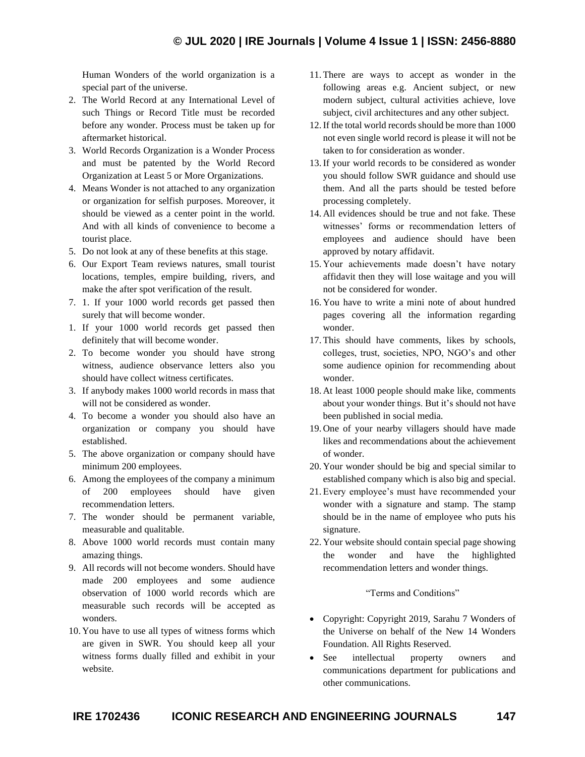Human Wonders of the world organization is a special part of the universe.

- 2. The World Record at any International Level of such Things or Record Title must be recorded before any wonder. Process must be taken up for aftermarket historical.
- 3. World Records Organization is a Wonder Process and must be patented by the World Record Organization at Least 5 or More Organizations.
- 4. Means Wonder is not attached to any organization or organization for selfish purposes. Moreover, it should be viewed as a center point in the world. And with all kinds of convenience to become a tourist place.
- 5. Do not look at any of these benefits at this stage.
- 6. Our Export Team reviews natures, small tourist locations, temples, empire building, rivers, and make the after spot verification of the result.
- 7. 1. If your 1000 world records get passed then surely that will become wonder.
- 1. If your 1000 world records get passed then definitely that will become wonder.
- 2. To become wonder you should have strong witness, audience observance letters also you should have collect witness certificates.
- 3. If anybody makes 1000 world records in mass that will not be considered as wonder.
- 4. To become a wonder you should also have an organization or company you should have established.
- 5. The above organization or company should have minimum 200 employees.
- 6. Among the employees of the company a minimum of 200 employees should have given recommendation letters.
- 7. The wonder should be permanent variable, measurable and qualitable.
- 8. Above 1000 world records must contain many amazing things.
- 9. All records will not become wonders. Should have made 200 employees and some audience observation of 1000 world records which are measurable such records will be accepted as wonders.
- 10. You have to use all types of witness forms which are given in SWR. You should keep all your witness forms dually filled and exhibit in your website.
- 11. There are ways to accept as wonder in the following areas e.g. Ancient subject, or new modern subject, cultural activities achieve, love subject, civil architectures and any other subject.
- 12.If the total world records should be more than 1000 not even single world record is please it will not be taken to for consideration as wonder.
- 13.If your world records to be considered as wonder you should follow SWR guidance and should use them. And all the parts should be tested before processing completely.
- 14. All evidences should be true and not fake. These witnesses' forms or recommendation letters of employees and audience should have been approved by notary affidavit.
- 15. Your achievements made doesn't have notary affidavit then they will lose waitage and you will not be considered for wonder.
- 16. You have to write a mini note of about hundred pages covering all the information regarding wonder.
- 17. This should have comments, likes by schools, colleges, trust, societies, NPO, NGO's and other some audience opinion for recommending about wonder.
- 18. At least 1000 people should make like, comments about your wonder things. But it's should not have been published in social media.
- 19. One of your nearby villagers should have made likes and recommendations about the achievement of wonder.
- 20. Your wonder should be big and special similar to established company which is also big and special.
- 21. Every employee's must have recommended your wonder with a signature and stamp. The stamp should be in the name of employee who puts his signature.
- 22. Your website should contain special page showing the wonder and have the highlighted recommendation letters and wonder things.

"Terms and Conditions"

- Copyright: Copyright 2019, Sarahu 7 Wonders of the Universe on behalf of the New 14 Wonders Foundation. All Rights Reserved.
- See intellectual property owners and communications department for publications and other communications.